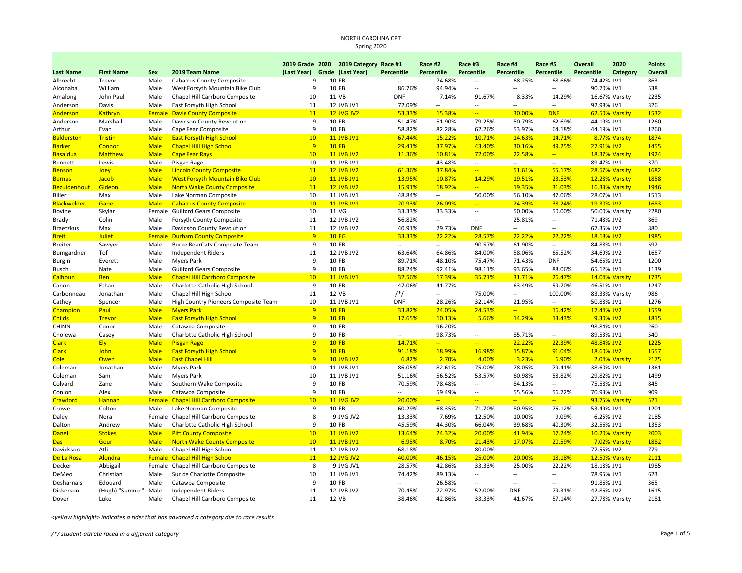| <b>Last Name</b>    | <b>First Name</b> | Sex         | 2019 Team Name                         | (Last Year)    | 2019 Grade 2020 2019 Category Race #1<br>Grade (Last Year) | <b>Percentile</b>        | Race #2<br>Percentile    | Race #3<br><b>Percentile</b> | Race #4<br>Percentile    | Race #5<br><b>Percentile</b> | Overall<br><b>Percentile</b> | 2020<br>Category | <b>Points</b><br>Overall |
|---------------------|-------------------|-------------|----------------------------------------|----------------|------------------------------------------------------------|--------------------------|--------------------------|------------------------------|--------------------------|------------------------------|------------------------------|------------------|--------------------------|
| Albrecht            | Trevor            | Male        | <b>Cabarrus County Composite</b>       | 9              | 10 FB                                                      | $\sim$                   | 74.68%                   | $\overline{a}$               | 68.25%                   | 68.66%                       | 74.42% JV1                   |                  | 863                      |
| Alconaba            | William           | Male        | West Forsyth Mountain Bike Club        | 9              | 10 FB                                                      | 86.76%                   | 94.94%                   | $\overline{a}$               | $\sim$                   | $\overline{a}$               | 90.70% JV1                   |                  | 538                      |
| Amalong             | John Paul         | Male        | Chapel Hill Carrboro Composite         | 10             | 11 VB                                                      | <b>DNF</b>               | 7.14%                    | 91.67%                       | 8.33%                    | 14.29%                       |                              | 16.67% Varsity   | 2235                     |
| Anderson            | Davis             | Male        | East Forsyth High School               | 11             | 12 JVB JV1                                                 | 72.09%                   | Ξ.                       | $\overline{a}$               | $\overline{\phantom{a}}$ |                              | 92.98% JV1                   |                  | 326                      |
| Anderson            | Kathryn           | Female      | <b>Davie County Composite</b>          | 11             | <b>12 JVG JV2</b>                                          | 53.33%                   | 15.38%                   | ÷.                           | 30.00%                   | <b>DNF</b>                   |                              | 62.50% Varsity   | 1532                     |
| Anderson            | Marshall          | Male        | Davidson County Revolution             | 9              | 10 FB                                                      | 51.47%                   | 51.90%                   | 79.25%                       | 50.79%                   | 62.69%                       | 44.19% JV1                   |                  | 1260                     |
| Arthur              | Evan              | Male        | Cape Fear Composite                    | 9              | 10 FB                                                      | 58.82%                   | 82.28%                   | 62.26%                       | 53.97%                   | 64.18%                       | 44.19% JV1                   |                  | 1260                     |
| <b>Balderston</b>   | <b>Tristin</b>    | <b>Male</b> | <b>East Forsyth High School</b>        | 10             | <b>11 JVB JV1</b>                                          | 67.44%                   | 15.22%                   | 10.71%                       | 14.63%                   | 14.71%                       |                              | 8.77% Varsity    | 1874                     |
| <b>Barker</b>       | Connor            | <b>Male</b> | <b>Chapel Hill High School</b>         | 9              | <b>10 FB</b>                                               | 29.41%                   | 37.97%                   | 43.40%                       | 30.16%                   | 49.25%                       | 27.91% JV2                   |                  | 1455                     |
| <b>Basaldua</b>     | <b>Matthew</b>    | <b>Male</b> | <b>Cape Fear Rays</b>                  | 10             | <b>11 JVB JV2</b>                                          | 11.36%                   | 10.81%                   | 72.00%                       | 22.58%                   | $\frac{1}{2}$                |                              | 18.37% Varsity   | 1924                     |
| Bennett             | Lewis             | Male        | Pisgah Rage                            | 10             | 11 JVB JV1                                                 | $\overline{\phantom{a}}$ | 43.48%                   | $\sim$                       | $\sim$                   | $\sim$                       | 89.47% JV1                   |                  | 370                      |
| <b>Benson</b>       | Joey              | <b>Male</b> | <b>Lincoln County Composite</b>        | 11             | <b>12 JVB JV2</b>                                          | 61.36%                   | 37.84%                   | $\frac{1}{2}$                | 51.61%                   | 55.17%                       |                              | 28.57% Varsity   | 1682                     |
| <b>Bernas</b>       | <b>Jacob</b>      | <b>Male</b> | <b>West Forsyth Mountain Bike Club</b> | 10             | <b>11 JVB JV1</b>                                          | 13.95%                   | 10.87%                   | 14.29%                       | 19.51%                   | 23.53%                       |                              | 12.28% Varsity   | 1858                     |
| <b>Bezuidenhout</b> | Gideon            | <b>Male</b> | <b>North Wake County Composite</b>     | 11             | <b>12 JVB JV2</b>                                          | 15.91%                   | 18.92%                   | $\overline{\phantom{a}}$     | 19.35%                   | 31.03%                       |                              | 16.33% Varsity   | 1946                     |
| Biller              | Max               | Male        | Lake Norman Composite                  | 10             | 11 JVB JV1                                                 | 48.84%                   | $\sim$                   | 50.00%                       | 56.10%                   | 47.06%                       | 28.07% JV1                   |                  | 1513                     |
| <b>Blackwelder</b>  | Gabe              | <b>Male</b> | <b>Cabarrus County Composite</b>       | 10             | <b>11 JVB JV1</b>                                          | 20.93%                   | 26.09%                   | $\rightarrow$                | 24.39%                   | 38.24%                       | 19.30% JV2                   |                  | 1683                     |
| Bovine              | Skylar            | Female      | <b>Guilford Gears Composite</b>        | 10             | 11 VG                                                      | 33.33%                   | 33.33%                   | $\overline{\phantom{a}}$     | 50.00%                   | 50.00%                       |                              | 50.00% Varsity   | 2280                     |
| Brady               | Colin             | Male        | Forsyth County Composite               | 11             | 12 JVB JV2                                                 | 56.82%                   | $\overline{\phantom{a}}$ | $\overline{a}$               | 25.81%                   | $\overline{a}$               | 71.43% JV2                   |                  | 869                      |
| <b>Braetzkus</b>    | Max               | Male        | Davidson County Revolution             | 11             | 12 JVB JV2                                                 | 40.91%                   | 29.73%                   | <b>DNF</b>                   | $\sim$                   | $\overline{a}$               | 67.35% JV2                   |                  | 880                      |
| <b>Breit</b>        | <b>Juliet</b>     | Female      | <b>Durham County Composite</b>         | 9              | <b>10 FG</b>                                               | 33.33%                   | 22.22%                   | 28.57%                       | 22.22%                   | 22.22%                       | 18.18% JV2                   |                  | 1985                     |
| <b>Breiter</b>      | Sawyer            | Male        | Burke BearCats Composite Team          | 9              | 10 FB                                                      | $\sim$                   | $\sim$                   | 90.57%                       | 61.90%                   | $\overline{\phantom{a}}$     | 84.88% JV1                   |                  | 592                      |
| Bumgardner          | Tof               | Male        | <b>Independent Riders</b>              | 11             | 12 JVB JV2                                                 | 63.64%                   | 64.86%                   | 84.00%                       | 58.06%                   | 65.52%                       | 34.69% JV2                   |                  | 1657                     |
| <b>Burgin</b>       | Everett           | Male        | <b>Myers Park</b>                      | 9              | 10 FB                                                      | 89.71%                   | 48.10%                   | 75.47%                       | 71.43%                   | <b>DNF</b>                   | 54.65% JV1                   |                  | 1200                     |
| Busch               | Nate              | Male        | <b>Guilford Gears Composite</b>        | 9              | 10 FB                                                      | 88.24%                   | 92.41%                   | 98.11%                       | 93.65%                   | 88.06%                       | 65.12% JV1                   |                  | 1139                     |
| Calhoun             | <b>Ben</b>        | <b>Male</b> | <b>Chapel Hill Carrboro Composite</b>  | 10             | <b>11 JVB JV1</b>                                          | 32.56%                   | 17.39%                   | 35.71%                       | 31.71%                   | 26.47%                       |                              | 14.04% Varsity   | 1735                     |
| Canon               | Ethan             | Male        | Charlotte Catholic High School         | 9              | 10 FB                                                      | 47.06%                   | 41.77%                   | $\sim$                       | 63.49%                   | 59.70%                       | 46.51% JV1                   |                  | 1247                     |
| Carbonneau          | Jonathan          | Male        | Chapel Hill High School                | 11             | 12 VB                                                      | $/*/$                    |                          | 75.00%                       | $\overline{\phantom{a}}$ | 100.00%                      |                              | 83.33% Varsity   | 986                      |
| Cathey              | Spencer           | Male        | High Country Pioneers Composite Team   | 10             | 11 JVB JV1                                                 | <b>DNF</b>               | 28.26%                   | 32.14%                       | 21.95%                   | $\sim$                       | 50.88% JV1                   |                  | 1276                     |
| Champion            | Paul              | <b>Male</b> | <b>Myers Park</b>                      | 9              | <b>10 FB</b>                                               | 33.82%                   | 24.05%                   | 24.53%                       | $\frac{1}{2}$            | 16.42%                       | 17.44% JV2                   |                  | 1559                     |
| <b>Childs</b>       | <b>Trevor</b>     | <b>Male</b> | <b>East Forsyth High School</b>        | $\overline{q}$ | <b>10 FB</b>                                               | 17.65%                   | 10.13%                   | 5.66%                        | 14.29%                   | 13.43%                       | 9.30% JV2                    |                  | 1815                     |
| <b>CHINN</b>        | Conor             | Male        | Catawba Composite                      | 9              | 10 FB                                                      | $\sim$                   | 96.20%                   | $\overline{\phantom{a}}$     | $\overline{\phantom{a}}$ | $\overline{\phantom{a}}$     | 98.84% JV1                   |                  | 260                      |
| Cholewa             | Casey             | Male        | Charlotte Catholic High School         | 9              | 10 FB                                                      | $\overline{\phantom{a}}$ | 98.73%                   | --                           | 85.71%                   | $\overline{a}$               | 89.53% JV1                   |                  | 540                      |
| <b>Clark</b>        | <b>Ely</b>        | <b>Male</b> | <b>Pisgah Rage</b>                     | $\overline{9}$ | <b>10 FB</b>                                               | 14.71%                   | $\frac{1}{2}$            | ÷,                           | 22.22%                   | 22.39%                       | 48.84% JV2                   |                  | 1225                     |
| <b>Clark</b>        | <b>John</b>       | <b>Male</b> | <b>East Forsyth High School</b>        | $\overline{9}$ | <b>10 FB</b>                                               | 91.18%                   | 18.99%                   | 16.98%                       | 15.87%                   | 91.04%                       | 18.60% JV2                   |                  | 1557                     |
| Cole                | Owen              | <b>Male</b> | <b>East Chapel Hill</b>                | $\overline{9}$ | <b>10 JVB JV2</b>                                          | 6.82%                    | 2.70%                    | 4.00%                        | 3.23%                    | 6.90%                        |                              | 2.04% Varsity    | 2175                     |
| Coleman             | Jonathan          | Male        | <b>Myers Park</b>                      | 10             | 11 JVB JV1                                                 | 86.05%                   | 82.61%                   | 75.00%                       | 78.05%                   | 79.41%                       | 38.60% JV1                   |                  | 1361                     |
| Coleman             | Sam               | Male        | <b>Myers Park</b>                      | 10             | 11 JVB JV1                                                 | 51.16%                   | 56.52%                   | 53.57%                       | 60.98%                   | 58.82%                       | 29.82% JV1                   |                  | 1499                     |
| Colvard             | Zane              | Male        | Southern Wake Composite                | 9              | 10 FB                                                      | 70.59%                   | 78.48%                   | --                           | 84.13%                   | $\overline{a}$               | 75.58% JV1                   |                  | 845                      |
| Conlon              | Alex              | Male        | Catawba Composite                      | 9              | 10 FB                                                      | $\overline{\phantom{a}}$ | 59.49%                   | $\overline{\phantom{a}}$     | 55.56%                   | 56.72%                       | 70.93% JV1                   |                  | 909                      |
| Crawford            | Hannah            | Female      | <b>Chapel Hill Carrboro Composite</b>  | 10             | <b>11 JVG JV2</b>                                          | 20.00%                   | $\frac{1}{2}$            | $\overline{a}$               | $\frac{1}{2}$            | $-1$                         |                              | 93.75% Varsity   | 521                      |
| Crowe               | Colton            | Male        | Lake Norman Composite                  | 9              | 10 FB                                                      | 60.29%                   | 68.35%                   | 71.70%                       | 80.95%                   | 76.12%                       | 53.49% JV1                   |                  | 1201                     |
| Daley               | Nora              | Female      | Chapel Hill Carrboro Composite         | 8              | 9 JVG JV2                                                  | 13.33%                   | 7.69%                    | 12.50%                       | 10.00%                   | 9.09%                        | 6.25% JV2                    |                  | 2185                     |
| Dalton              | Andrew            | Male        | Charlotte Catholic High School         | 9              | 10 FB                                                      | 45.59%                   | 44.30%                   | 66.04%                       | 39.68%                   | 40.30%                       | 32.56% JV1                   |                  | 1353                     |
| <b>Danell</b>       | <b>Stokes</b>     | <b>Male</b> | <b>Pitt County Composite</b>           | 10             | <b>11 JVB JV2</b>                                          | 13.64%                   | 24.32%                   | 20.00%                       | 41.94%                   | 17.24%                       |                              | 10.20% Varsity   | 2003                     |
| <b>Das</b>          | Gour              | <b>Male</b> | <b>North Wake County Composite</b>     | 10             | <b>11 JVB JV1</b>                                          | 6.98%                    | 8.70%                    | 21.43%                       | 17.07%                   | 20.59%                       |                              | 7.02% Varsity    | 1882                     |
| Davidsson           | Atli              | Male        | Chapel Hill High School                | 11             | 12 JVB JV2                                                 | 68.18%                   | $\sim$                   | 80.00%                       | $\sim$                   | $\sim$                       | 77.55% JV2                   |                  | 779                      |
| De La Rosa          | Alondra           | Female      | <b>Chapel Hill High School</b>         | <b>11</b>      | <b>12 JVG JV2</b>                                          | 40.00%                   | 46.15%                   | 25.00%                       | 20.00%                   | 18.18%                       |                              | 12.50% Varsity   | 2111                     |
| Decker              | Abbigail          | Female      | Chapel Hill Carrboro Composite         | 8              | 9 JVG JV1                                                  | 28.57%                   | 42.86%                   | 33.33%                       | 25.00%                   | 22.22%                       | 18.18% JV1                   |                  | 1985                     |
| DeMeo               | Christian         | Male        | Sur de Charlotte Composite             | 10             | 11 JVB JV1                                                 | 74.42%                   | 89.13%                   | $\overline{a}$               | $\sim$                   | $\overline{a}$               | 78.95% JV1                   |                  | 623                      |
| Desharnais          | Edouard           | Male        | Catawba Composite                      | 9              | 10 FB                                                      | $\overline{\phantom{a}}$ | 26.58%                   | $\overline{\phantom{a}}$     | $\overline{\phantom{a}}$ | $\overline{a}$               | 91.86% JV1                   |                  | 365                      |
| Dickerson           | (Hugh) "Sumner"   | Male        | <b>Independent Riders</b>              | 11             | 12 JVB JV2                                                 | 70.45%                   | 72.97%                   | 52.00%                       | <b>DNF</b>               | 79.31%                       | 42.86% JV2                   |                  | 1615                     |
| Dover               | Luke              | Male        | Chapel Hill Carrboro Composite         | 11             | 12 VB                                                      | 38.46%                   | 42.86%                   | 33.33%                       | 41.67%                   | 57.14%                       |                              | 27.78% Varsity   | 2181                     |
|                     |                   |             |                                        |                |                                                            |                          |                          |                              |                          |                              |                              |                  |                          |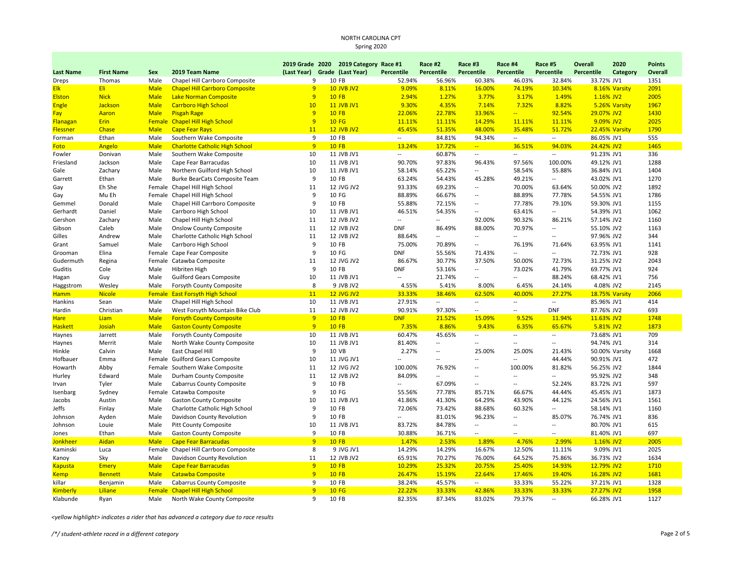| <b>Last Name</b>     | <b>First Name</b> | <b>Sex</b>    | 2019 Team Name                            | (Last Year)    | 2019 Grade 2020 2019 Category Race #1<br>Grade (Last Year) | Percentile                        | Race #2<br>Percentile    | Race #3<br>Percentile    | Race #4<br>Percentile             | Race #5<br><b>Percentile</b>                         | <b>Overall</b><br>Percentile | 2020<br>Category | <b>Points</b><br>Overall |
|----------------------|-------------------|---------------|-------------------------------------------|----------------|------------------------------------------------------------|-----------------------------------|--------------------------|--------------------------|-----------------------------------|------------------------------------------------------|------------------------------|------------------|--------------------------|
| Dreps                | Thomas            | Male          | Chapel Hill Carrboro Composite            | 9              | 10 FB                                                      | 52.94%                            | 56.96%                   | 60.38%                   | 46.03%                            | 32.84%                                               | 33.72% JV1                   |                  | 1351                     |
| <b>Elk</b>           | Eli:              | <b>Male</b>   | <b>Chapel Hill Carrboro Composite</b>     | 9              | <b>10 JVB JV2</b>                                          | 9.09%                             | 8.11%                    | 16.00%                   | 74.19%                            | 10.34%                                               |                              | 8.16% Varsity    | 2091                     |
| <b>Elston</b>        | <b>Nick</b>       | <b>Male</b>   | <b>Lake Norman Composite</b>              | $\overline{9}$ | <b>10 FB</b>                                               | 2.94%                             | 1.27%                    | 3.77%                    | 3.17%                             | 1.49%                                                | 1.16% JV2                    |                  | 2005                     |
| <b>Engle</b>         | Jackson           | <b>Male</b>   | <b>Carrboro High School</b>               | 10             | <b>11 JVB JV1</b>                                          | 9.30%                             | 4.35%                    | 7.14%                    | 7.32%                             | 8.82%                                                |                              | 5.26% Varsity    | 1967                     |
| Fay                  | Aaron             | <b>Male</b>   | <b>Pisgah Rage</b>                        | $\overline{9}$ | <b>10 FB</b>                                               | 22.06%                            | 22.78%                   | 33.96%                   | u,                                | 92.54%                                               | 29.07% JV2                   |                  | 1430                     |
| Flanagan             | <b>Erin</b>       | <b>Female</b> | <b>Chapel Hill High School</b>            | 9              | <b>10 FG</b>                                               | 11.11%                            | 11.11%                   | 14.29%                   | 11.11%                            | 11.11%                                               | 9.09% JV2                    |                  | 2025                     |
| <b>Flessner</b>      | Chase             | <b>Male</b>   | <b>Cape Fear Rays</b>                     | 11             | <b>12 JVB JV2</b>                                          | 45.45%                            | 51.35%                   | 48.00%                   | 35.48%                            | 51.72%                                               |                              | 22.45% Varsity   | 1790                     |
| Forman               | Ethan             | Male          | Southern Wake Composite                   | 9              | 10 FB                                                      | $\sim$                            | 84.81%                   | 94.34%                   | $\overline{a}$                    | $\overline{\phantom{a}}$                             | 86.05% JV1                   |                  | 555                      |
| Foto                 | Angelo            | <b>Male</b>   | <b>Charlotte Catholic High School</b>     | 9              | <b>10 FB</b>                                               | 13.24%                            | 17.72%                   | $\frac{1}{2}$            | 36.51%                            | 94.03%                                               | 24.42% JV2                   |                  | 1465                     |
| Fowler               | Donivan           | Male          | Southern Wake Composite                   | 10             | 11 JVB JV1                                                 | $\overline{\phantom{a}}$          | 60.87%                   | $\qquad \qquad \cdots$   | $\overline{\phantom{a}}$          | $\overline{\phantom{a}}$                             | 91.23% JV1                   |                  | 336                      |
| Friesland            | Jackson           | Male          | Cape Fear Barracudas                      | 10             | 11 JVB JV1                                                 | 90.70%                            | 97.83%                   | 96.43%                   | 97.56%                            | 100.00%                                              | 49.12% JV1                   |                  | 1288                     |
| Gale                 | Zachary           | Male          | Northern Guilford High School             | 10             | 11 JVB JV1                                                 | 58.14%                            | 65.22%                   | Ξ.                       | 58.54%                            | 55.88%                                               | 36.84% JV1                   |                  | 1404                     |
| Garrett              | Ethan             | Male          | Burke BearCats Composite Team             | 9              | 10 FB                                                      | 63.24%                            | 54.43%                   | 45.28%                   | 49.21%                            | $\overline{\phantom{a}}$                             | 43.02% JV1                   |                  | 1270                     |
| Gay                  | Eh She            |               | Female Chapel Hill High School            | 11             | 12 JVG JV2                                                 | 93.33%                            | 69.23%                   | $\overline{a}$           | 70.00%                            | 63.64%                                               | 50.00% JV2                   |                  | 1892                     |
| Gay                  | Mu Eh             |               | Female Chapel Hill High School            | 9              | 10 FG                                                      | 88.89%                            | 66.67%                   | $\overline{\phantom{a}}$ | 88.89%                            | 77.78%                                               | 54.55% JV1                   |                  | 1786                     |
| Gemmel               | Donald            | Male          | Chapel Hill Carrboro Composite            | 9              | 10 FB                                                      | 55.88%                            | 72.15%                   | --                       | 77.78%                            | 79.10%                                               | 59.30% JV1                   |                  | 1155                     |
| Gerhardt             | Daniel            | Male          | Carrboro High School                      | 10             | 11 JVB JV1                                                 | 46.51%                            | 54.35%                   | $\overline{\phantom{a}}$ | 63.41%                            | $\overline{\phantom{a}}$                             | 54.39% JV1                   |                  | 1062                     |
| Gershon              | Zachary           | Male          | Chapel Hill High School                   | 11             | 12 JVB JV2                                                 | $\overline{\phantom{a}}$          | $\overline{a}$           | 92.00%                   | 90.32%                            | 86.21%                                               | 57.14% JV2                   |                  | 1160                     |
| Gibson               | Caleb             | Male          | <b>Onslow County Composite</b>            | 11             | 12 JVB JV2                                                 | <b>DNF</b>                        | 86.49%                   | 88.00%                   | 70.97%                            | $\overline{a}$                                       | 55.10% JV2                   |                  | 1163                     |
| Gilles               | Andrew            | Male          | Charlotte Catholic High School            | 11             | 12 JVB JV2                                                 | 88.64%                            | --                       | --                       | $\overline{\phantom{a}}$          | $\overline{\phantom{a}}$                             | 97.96% JV2                   |                  | 344                      |
| Grant                | Samuel            | Male          | Carrboro High School                      | 9              | 10 FB                                                      | 75.00%                            | 70.89%                   | $\overline{a}$           | 76.19%                            | 71.64%                                               | 63.95% JV1                   |                  | 1141                     |
|                      | Elina             |               |                                           | 9              | 10 FG                                                      | <b>DNF</b>                        | 55.56%                   | 71.43%                   | --                                | $\overline{\phantom{a}}$                             |                              |                  | 928                      |
| Grooman              |                   | Female        | Cape Fear Composite                       | 11             | 12 JVG JV2                                                 | 86.67%                            | 30.77%                   |                          | 50.00%                            | 72.73%                                               | 72.73% JV1<br>31.25% JV2     |                  | 2043                     |
| Gudermuth<br>Guditis | Regina<br>Cole    | Male          | Female Catawba Composite<br>Hibriten High | 9              | 10 FB                                                      | <b>DNF</b>                        | 53.16%                   | 37.50%<br>--             | 73.02%                            | 41.79%                                               | 69.77% JV1                   |                  | 924                      |
|                      |                   |               |                                           | 10             |                                                            |                                   | 21.74%                   | $\overline{a}$           |                                   |                                                      | 68.42% JV1                   |                  | 756                      |
| Hagan                | Guy<br>Wesley     | Male<br>Male  | <b>Guilford Gears Composite</b>           | 8              | 11 JVB JV1<br>9 JVB JV2                                    | $\overline{\phantom{a}}$<br>4.55% | 5.41%                    | 8.00%                    | $\overline{\phantom{a}}$<br>6.45% | 88.24%<br>24.14%                                     | 4.08% JV2                    |                  | 2145                     |
| Haggstrom            |                   |               | Forsyth County Composite                  |                |                                                            |                                   |                          |                          |                                   |                                                      |                              |                  |                          |
| <b>Hamm</b>          | <b>Nicole</b>     | <b>Female</b> | <b>East Forsyth High School</b>           | 11             | <b>12 JVG JV2</b>                                          | 33.33%                            | 38.46%                   | 62.50%                   | 40.00%                            | 27.27%<br>$\overline{\phantom{a}}$                   |                              | 18.75% Varsity   | 2066                     |
| Hankins              | Sean              | Male          | Chapel Hill High School                   | 10<br>11       | 11 JVB JV1<br>12 JVB JV2                                   | 27.91%<br>90.91%                  | $\overline{\phantom{a}}$ | --<br>--                 | $\overline{\phantom{a}}$<br>--    | <b>DNF</b>                                           | 85.96% JV1                   |                  | 414                      |
| Hardin               | Christian         | Male          | West Forsyth Mountain Bike Club           | 9              |                                                            |                                   | 97.30%                   |                          |                                   |                                                      | 87.76% JV2                   |                  | 693                      |
| <b>Hare</b>          | Liam              | <b>Male</b>   | <b>Forsyth County Composite</b>           | $\overline{9}$ | <b>10 FB</b><br><b>10 FB</b>                               | <b>DNF</b>                        | 21.52%                   | 15.09%                   | 9.52%                             | 11.94%                                               | 11.63% JV2                   |                  | 1748                     |
| <b>Haskett</b>       | Josiah            | <b>Male</b>   | <b>Gaston County Composite</b>            |                |                                                            | 7.35%                             | 8.86%<br>45.65%          | 9.43%<br>$\overline{a}$  | 6.35%<br>$\overline{a}$           | 65.67%                                               | 5.81% JV2                    |                  | 1873<br>709              |
| Haynes               | Jarrett           | Male          | Forsyth County Composite                  | 10             | 11 JVB JV1                                                 | 60.47%                            |                          | $\overline{a}$           | $\overline{a}$                    | $\overline{\phantom{a}}$<br>$\overline{\phantom{a}}$ | 73.68% JV1                   |                  |                          |
| Haynes               | Merrit            | Male          | North Wake County Composite               | 10             | 11 JVB JV1                                                 | 81.40%                            |                          |                          |                                   |                                                      | 94.74% JV1                   |                  | 314                      |
| Hinkle               | Calvin            | Male          | East Chapel Hill                          | 9              | 10 VB                                                      | 2.27%                             | $\overline{a}$           | 25.00%                   | 25.00%                            | 21.43%                                               |                              | 50.00% Varsity   | 1668                     |
| Hofbauer             | Emma              |               | Female Guilford Gears Composite           | 10             | 11 JVG JV1                                                 |                                   | $\overline{\phantom{a}}$ | $\overline{a}$           | $\overline{\phantom{a}}$          | 44.44%                                               | 90.91% JV1                   |                  | 472                      |
| Howarth              | Abby              |               | Female Southern Wake Composite            | 11             | 12 JVG JV2                                                 | 100.00%                           | 76.92%                   | $\overline{a}$           | 100.00%                           | 81.82%                                               | 56.25% JV2                   |                  | 1844                     |
| Hurley               | Edward            | Male          | Durham County Composite                   | 11             | 12 JVB JV2                                                 | 84.09%                            | Ξ.                       | $\overline{a}$           | $\overline{a}$                    | $\ddot{\phantom{a}}$                                 | 95.92% JV2                   |                  | 348                      |
| Irvan                | Tyler             | Male          | <b>Cabarrus County Composite</b>          | 9              | 10 FB                                                      | $\overline{\phantom{a}}$          | 67.09%                   | $\overline{a}$           | $\overline{\phantom{a}}$          | 52.24%                                               | 83.72% JV1                   |                  | 597                      |
| Isenbarg             | Sydney            |               | Female Catawba Composite                  | 9              | 10 FG                                                      | 55.56%                            | 77.78%                   | 85.71%                   | 66.67%                            | 44.44%                                               | 45.45% JV1                   |                  | 1873                     |
| Jacobs               | Austin            | Male          | <b>Gaston County Composite</b>            | 10             | 11 JVB JV1                                                 | 41.86%                            | 41.30%                   | 64.29%                   | 43.90%                            | 44.12%                                               | 24.56% JV1                   |                  | 1561                     |
| Jeffs                | Finlay            | Male          | Charlotte Catholic High School            | 9              | 10 FB                                                      | 72.06%                            | 73.42%                   | 88.68%                   | 60.32%                            | $\overline{\phantom{a}}$                             | 58.14% JV1                   |                  | 1160                     |
| Johnson              | Ayden             | Male          | Davidson County Revolution                | 9              | 10 FB                                                      | $\overline{\phantom{a}}$          | 81.01%                   | 96.23%                   | Ξ.                                | 85.07%                                               | 76.74% JV1                   |                  | 836                      |
| Johnson              | Louie             | Male          | <b>Pitt County Composite</b>              | 10             | 11 JVB JV1                                                 | 83.72%                            | 84.78%                   | $\overline{a}$           | $\overline{a}$                    | $\overline{a}$                                       | 80.70% JV1                   |                  | 615                      |
| Jones                | Ethan             | Male          | <b>Gaston County Composite</b>            | 9              | 10 FB                                                      | 30.88%                            | 36.71%                   | $\overline{\phantom{a}}$ | $\overline{a}$                    | $\overline{a}$                                       | 81.40% JV1                   |                  | 697                      |
| <b>Jonkheer</b>      | Aidan             | <b>Male</b>   | <b>Cape Fear Barracudas</b>               | $\overline{9}$ | <b>10 FB</b>                                               | 1.47%                             | 2.53%                    | 1.89%                    | 4.76%                             | 2.99%                                                | 1.16% JV2                    |                  | 2005                     |
| Kaminski             | Luca              | Female        | Chapel Hill Carrboro Composite            | 8              | 9 JVG JV1                                                  | 14.29%                            | 14.29%                   | 16.67%                   | 12.50%                            | 11.11%                                               | 9.09% JV1                    |                  | 2025                     |
| Kanoy                | Sky               | Male          | Davidson County Revolution                | 11             | 12 JVB JV2                                                 | 65.91%                            | 70.27%                   | 76.00%                   | 64.52%                            | 75.86%                                               | 36.73% JV2                   |                  | 1634                     |
| <b>Kapusta</b>       | <b>Emery</b>      | <b>Male</b>   | <b>Cape Fear Barracudas</b>               | 9              | <b>10 FB</b>                                               | 10.29%                            | 25.32%                   | 20.75%                   | 25.40%                            | 14.93%                                               | 12.79% JV2                   |                  | 1710                     |
| <b>Kemp</b>          | <b>Bennett</b>    | <b>Male</b>   | <b>Catawba Composite</b>                  | $\overline{9}$ | <b>10 FB</b>                                               | 26.47%                            | 15.19%                   | 22.64%                   | 17.46%                            | 19.40%                                               | 16.28% JV2                   |                  | 1681                     |
| killar               | Benjamin          | Male          | Cabarrus County Composite                 | 9              | 10 FB                                                      | 38.24%                            | 45.57%                   | $\sim$                   | 33.33%                            | 55.22%                                               | 37.21% JV1                   |                  | 1328                     |
| <b>Kimberly</b>      | Liliane           | Female        | <b>Chapel Hill High School</b>            | 9              | <b>10 FG</b>                                               | 22.22%                            | 33.33%                   | 42.86%                   | 33.33%                            | 33.33%                                               | 27.27% JV2                   |                  | 1958                     |
| Klabunde             | Ryan              | Male          | North Wake County Composite               | 9              | 10 FB                                                      | 82.35%                            | 87.34%                   | 83.02%                   | 79.37%                            | $\overline{\phantom{a}}$                             | 66.28% JV1                   |                  | 1127                     |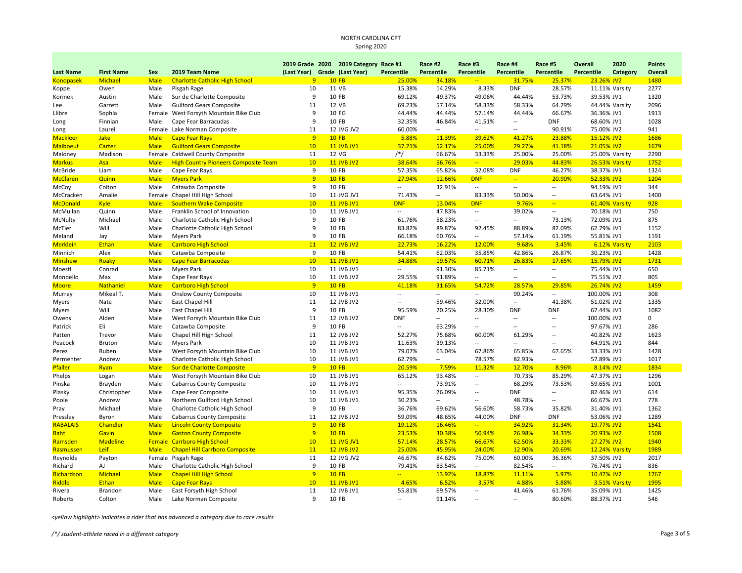|                  |                          |               |                                                               |                | 2019 Grade 2020 2019 Category Race #1 |                          | Race #2                  | Race #3                  | Race #4                  | Race #5                  | <b>Overall</b>           | 2020           | <b>Points</b> |
|------------------|--------------------------|---------------|---------------------------------------------------------------|----------------|---------------------------------------|--------------------------|--------------------------|--------------------------|--------------------------|--------------------------|--------------------------|----------------|---------------|
| <b>Last Name</b> | <b>First Name</b>        | Sex           | 2019 Team Name                                                | (Last Year)    | Grade (Last Year)                     | Percentile               | Percentile               | Percentile               | Percentile               | Percentile               | Percentile               | Category       | Overall       |
| <b>Konopasek</b> | Michael                  | <b>Male</b>   | <b>Charlotte Catholic High School</b>                         | $\overline{9}$ | <b>10 FB</b>                          | 25.00%                   | 34.18%                   | $\overline{a}$           | 31.75%                   | 25.37%                   | 23.26% JV2               |                | 1480          |
| Koppe            | Owen                     | Male          | Pisgah Rage                                                   | 10             | 11 VB                                 | 15.38%                   | 14.29%                   | 8.33%                    | <b>DNF</b>               | 28.57%                   |                          | 11.11% Varsity | 2277          |
| Korinek          | Austin                   | Male          | Sur de Charlotte Composite                                    | 9              | 10 FB                                 | 69.12%                   | 49.37%                   | 49.06%                   | 44.44%                   | 53.73%                   | 39.53% JV1               |                | 1320          |
| Lee              | Garrett                  | Male          | <b>Guilford Gears Composite</b>                               | 11             | 12 VB                                 | 69.23%                   | 57.14%                   | 58.33%                   | 58.33%                   | 64.29%                   |                          | 44.44% Varsity | 2096          |
| Llibre           | Sophia                   | Female        | West Forsyth Mountain Bike Club                               | 9              | 10 FG                                 | 44.44%                   | 44.44%                   | 57.14%                   | 44.44%                   | 66.67%                   | 36.36% JV1               |                | 1913          |
| Long             | Finnian                  | Male          | Cape Fear Barracudas                                          | 9              | 10 FB                                 | 32.35%                   | 46.84%                   | 41.51%                   | $\overline{\phantom{a}}$ | <b>DNF</b>               | 68.60% JV1               |                | 1028          |
| Long             | Laurel                   |               | Female Lake Norman Composite                                  | 11             | 12 JVG JV2                            | 60.00%                   | $\frac{1}{2}$            | $\overline{\phantom{a}}$ | $\sim$                   | 90.91%                   | 75.00% JV2               |                | 941           |
| <b>Mackleer</b>  | <b>Jake</b>              | <b>Male</b>   | <b>Cape Fear Rays</b>                                         | $\overline{9}$ | <b>10 FB</b>                          | 5.88%                    | 11.39%                   | 39.62%                   | 41.27%                   | 23.88%                   | 15.12% JV2               |                | 1686          |
| <b>Malboeuf</b>  | Carter                   | <b>Male</b>   | <b>Guilford Gears Composite</b>                               | 10             | <b>11 JVB JV1</b>                     | 37.21%                   | 52.17%                   | 25.00%                   | 29.27%                   | 41.18%                   | 21.05% JV2               |                | 1679          |
| Maloney          | Madison                  |               | Female Caldwell County Composite                              | 11             | 12 VG                                 | $/*/$                    | 66.67%                   | 33.33%                   | 25.00%                   | 25.00%                   |                          | 25.00% Varsity | 2290          |
| <b>Markus</b>    | Asa                      | <b>Male</b>   | <b>High Country Pioneers Composite Team</b>                   | 10             | <b>11 JVB JV2</b>                     | 38.64%                   | 56.76%                   | $\overline{a}$           | 29.03%                   | 44.83%                   |                          | 26.53% Varsity | 1752          |
| McBride          | Liam                     | Male          | Cape Fear Rays                                                | 9              | 10 FB                                 | 57.35%                   | 65.82%                   | 32.08%                   | <b>DNF</b>               | 46.27%                   | 38.37% JV1               |                | 1324          |
| <b>McClaren</b>  | Quinn                    | <b>Male</b>   | <b>Myers Park</b>                                             | $\overline{9}$ | <b>10 FB</b>                          | 27.94%                   | 12.66%                   | <b>DNF</b>               | $\frac{1}{2}$            | 20.90%                   | 52.33% JV2               |                | 1204          |
| McCoy            | Colton                   | Male          | Catawba Composite                                             | 9              | 10 FB                                 | $\sim$                   | 32.91%                   | $\overline{\phantom{a}}$ | $\sim$                   | $\overline{\phantom{a}}$ | 94.19% JV1               |                | 344           |
| McCracken        | Amalie                   |               | Female Chapel Hill High School                                | 10             | 11 JVG JV1                            | 71.43%                   | $\overline{\phantom{a}}$ | 83.33%                   | 50.00%                   | $\sim$                   | 63.64% JV1               |                | 1400          |
| <b>McDonald</b>  | <b>Kyle</b>              | <b>Male</b>   | <b>Southern Wake Composite</b>                                | 10             | <b>11 JVB JV1</b>                     | <b>DNF</b>               | 13.04%                   | <b>DNF</b>               | 9.76%                    | $\sim$                   |                          | 61.40% Varsity | 928           |
| McMullan         | Quinn                    | Male          | Franklin School of Innovation                                 | 10             | 11 JVB JV1                            | $\overline{\phantom{a}}$ | 47.83%                   | $\overline{\phantom{a}}$ | 39.02%                   | $\overline{a}$           | 70.18% JV1               |                | 750           |
| McNulty          | Michael                  | Male          | Charlotte Catholic High School                                | 9              | 10 FB                                 | 61.76%                   | 58.23%                   | $\overline{\phantom{a}}$ | $\sim$                   | 73.13%                   | 72.09% JV1               |                | 875           |
| McTier           | Will                     | Male          | Charlotte Catholic High School                                | 9              | 10 FB                                 | 83.82%                   | 89.87%                   | 92.45%                   | 88.89%                   | 82.09%                   | 62.79% JV1               |                | 1152          |
| Meland           | Jay                      | Male          | <b>Myers Park</b>                                             | 9              | 10 FB                                 | 66.18%                   | 60.76%                   | Ξ.                       | 57.14%                   | 61.19%                   | 55.81% JV1               |                | 1191          |
| <b>Merklein</b>  | Ethan                    | <b>Male</b>   | <b>Carrboro High School</b>                                   | 11             | <b>12 JVB JV2</b>                     | 22.73%                   | 16.22%                   | 12.00%                   | 9.68%                    | 3.45%                    |                          | 6.12% Varsity  | 2103          |
| Minnich          | Alex                     | Male          | Catawba Composite                                             | 9              | 10 FB                                 | 54.41%                   | 62.03%                   | 35.85%                   | 42.86%                   | 26.87%                   | 30.23% JV1               |                | 1428          |
| <b>Minshew</b>   | Roaky                    | <b>Male</b>   | <b>Cape Fear Barracudas</b>                                   | 10             | <b>11 JVB JV1</b>                     | 34.88%                   | 19.57%                   | 60.71%                   | 26.83%                   | 17.65%                   | 15.79% JV2               |                | 1731          |
| Moestl           | Conrad                   | Male          | <b>Myers Park</b>                                             | 10             | 11 JVB JV1                            | $\overline{\phantom{a}}$ | 91.30%                   | 85.71%                   | $\sim$                   | $\overline{a}$           | 75.44% JV1               |                | 650           |
| Mondello         | Max                      | Male          | Cape Fear Rays                                                | 10             | 11 JVB JV2                            | 29.55%                   | 91.89%                   | $\overline{a}$           | $\overline{a}$           | $\overline{a}$           | 75.51% JV2               |                | 805           |
| <b>Moore</b>     | Nathaniel                | <b>Male</b>   | <b>Carrboro High School</b>                                   | $\overline{9}$ | <b>10 FB</b>                          | 41.18%                   | 31.65%                   | 54.72%                   | 28.57%                   | 29.85%                   | 26.74% JV2               |                | 1459          |
| Murray           | Mikeal T.                | Male          | <b>Onslow County Composite</b>                                | 10             | 11 JVB JV1                            | $\overline{\phantom{a}}$ | Ξ.                       | $\overline{\phantom{a}}$ | 90.24%                   | $\overline{a}$           | 100.00% JV1              |                | 308           |
| Myers            | Nate                     | Male          | East Chapel Hill                                              | 11             | 12 JVB JV2                            | $\sim$                   | 59.46%                   | 32.00%                   | $\sim$                   | 41.38%                   | 51.02% JV2               |                | 1335          |
| Myers            | Will                     | Male          | East Chapel Hill                                              | 9              | 10 FB                                 | 95.59%                   | 20.25%                   | 28.30%                   | <b>DNF</b>               | <b>DNF</b>               | 67.44% JV1               |                | 1082          |
| Owens            | Alden                    | Male          | West Forsyth Mountain Bike Club                               | 11             | 12 JVB JV2                            | <b>DNF</b>               | $\overline{a}$           | $\overline{a}$           | $\sim$                   | $\overline{a}$           | 100.00% JV2              |                | $\mathbf 0$   |
| Patrick          | Eli                      | Male          | Catawba Composite                                             | 9              | 10 FB                                 | $\sim$                   | 63.29%                   | $\overline{\phantom{a}}$ | $\overline{\phantom{a}}$ | $\overline{a}$           | 97.67% JV1               |                | 286           |
| Patten           | Trevor                   | Male          | Chapel Hill High School                                       | 11             | 12 JVB JV2                            | 52.27%                   | 75.68%                   | 60.00%                   | 61.29%                   | $\overline{a}$           | 40.82% JV2               |                | 1623          |
| Peacock          | Bruton                   | Male          | <b>Myers Park</b>                                             | 10             | 11 JVB JV1                            | 11.63%                   | 39.13%                   | --                       | $\sim$                   | $\overline{a}$           | 64.91% JV1               |                | 844           |
| Perez            | Ruben                    | Male          | West Forsyth Mountain Bike Club                               | 10             | 11 JVB JV1                            | 79.07%                   | 63.04%                   | 67.86%                   | 65.85%                   | 67.65%                   | 33.33% JV1               |                | 1428          |
| Permenter        | Andrew                   | Male          | Charlotte Catholic High School                                | 10             | 11 JVB JV1                            | 62.79%                   | --                       | 78.57%                   | 82.93%                   | --                       | 57.89% JV1               |                | 1017          |
| Pfaller          | Ryan                     | <b>Male</b>   | Sur de Charlotte Composite                                    | $\overline{9}$ | <b>10 FB</b>                          | 20.59%                   | 7.59%                    | 11.32%                   | 12.70%                   | 8.96%                    | 8.14% JV2                |                | 1834          |
| Phelps           | Logan                    | Male          | West Forsyth Mountain Bike Club                               | 10             | 11 JVB JV1                            | 65.12%                   | 93.48%                   | $\overline{\phantom{a}}$ | 70.73%                   | 85.29%                   | 47.37% JV1               |                | 1296          |
| Pinska           | Brayden                  | Male          | <b>Cabarrus County Composite</b>                              | 10             | 11 JVB JV1                            | $\sim$                   | 73.91%                   | $\overline{a}$           | 68.29%                   | 73.53%                   | 59.65% JV1               |                | 1001          |
| Plasky           | Christopher              | Male          | Cape Fear Composite                                           | 10             | 11 JVB JV1                            | 95.35%                   | 76.09%                   | $\overline{\phantom{a}}$ | <b>DNF</b>               | $\overline{\phantom{a}}$ | 82.46% JV1               |                | 614           |
| Poole            | Andrew                   | Male          | Northern Guilford High School                                 | 10             | 11 JVB JV1                            | 30.23%                   | $\overline{\phantom{a}}$ | $\overline{a}$           | 48.78%                   | $\overline{a}$           | 66.67% JV1               |                | 778           |
|                  | Michael                  | Male          | Charlotte Catholic High School                                | 9              | 10 FB                                 | 36.76%                   | 69.62%                   | 56.60%                   | 58.73%                   | 35.82%                   | 31.40% JV1               |                | 1362          |
| Pray<br>Pressley | Byron                    | Male          | <b>Cabarrus County Composite</b>                              | 11             | 12 JVB JV2                            | 59.09%                   | 48.65%                   | 44.00%                   | <b>DNF</b>               | <b>DNF</b>               | 53.06% JV2               |                | 1289          |
|                  |                          |               |                                                               | 9              | <b>10 FB</b>                          |                          | 16.46%                   | $\overline{\phantom{a}}$ | 34.92%                   |                          |                          |                | 1541          |
| <b>RABALAIS</b>  | Chandler                 | <b>Male</b>   | <b>Lincoln County Composite</b>                               | $\overline{9}$ | <b>10 FB</b>                          | 19.12%                   |                          | 50.94%                   |                          | 31.34%                   | 19.77% JV2               |                | 1508          |
| Raht             | Gavin<br><b>Madeline</b> | <b>Male</b>   | <b>Gaston County Composite</b><br><b>Carrboro High School</b> | 10             | <b>11 JVG JV1</b>                     | 23.53%<br>57.14%         | 30.38%<br>28.57%         | 66.67%                   | 26.98%<br>62.50%         | 34.33%<br>33.33%         | 20.93% JV2<br>27.27% JV2 |                | 1940          |
| Ramsden          |                          | <b>Female</b> |                                                               |                |                                       |                          |                          |                          |                          |                          |                          |                |               |
| Rasmussen        | Leif                     | <b>Male</b>   | <b>Chapel Hill Carrboro Composite</b>                         | 11             | <b>12 JVB JV2</b>                     | 25.00%                   | 45.95%                   | 24.00%                   | 12.90%                   | 20.69%                   |                          | 12.24% Varsity | 1989          |
| Reynolds         | Payton                   | Female        | Pisgah Rage                                                   | 11             | 12 JVG JV2                            | 46.67%                   | 84.62%                   | 75.00%                   | 60.00%                   | 36.36%                   | 37.50% JV2               |                | 2017          |
| Richard          | AJ                       | Male          | Charlotte Catholic High School                                | 9              | 10 FB                                 | 79.41%                   | 83.54%                   | $\overline{\phantom{a}}$ | 82.54%                   | $\sim$                   | 76.74% JV1               |                | 836           |
| Richardson       | Michael                  | <b>Male</b>   | <b>Chapel Hill High School</b>                                | 9              | <b>10 FB</b>                          | $\mathbb{L} \mathbb{L}$  | 13.92%                   | 18.87%                   | 11.11%                   | 5.97%                    | 10.47% JV2               |                | 1767          |
| Riddle           | <b>Ethan</b>             | <b>Male</b>   | <b>Cape Fear Rays</b>                                         | 10             | <b>11 JVB JV1</b>                     | 4.65%                    | 6.52%                    | 3.57%                    | 4.88%                    | 5.88%                    |                          | 3.51% Varsity  | 1995          |
| Rivera           | Brandon                  | Male          | East Forsyth High School                                      | 11             | 12 JVB JV1                            | 55.81%                   | 69.57%                   | $\overline{\phantom{a}}$ | 41.46%                   | 61.76%                   | 35.09% JV1               |                | 1425          |
| Roberts          | Colton                   | Male          | Lake Norman Composite                                         | 9              | 10 FB                                 | $\sim$                   | 91.14%                   | $\overline{\phantom{a}}$ | $\sim$                   | 80.60%                   | 88.37% JV1               |                | 546           |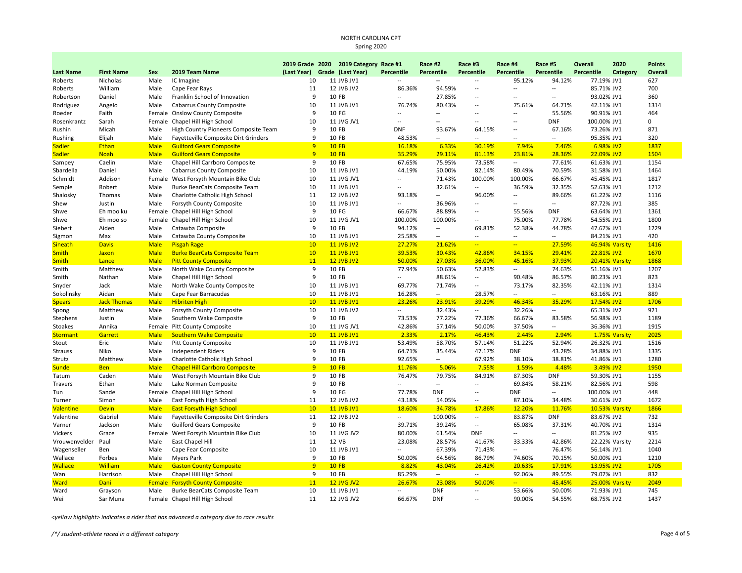|                              |                    |              |                                                                      |                               | 2019 Grade 2020 2019 Category Race #1 |                          | Race #2                  | Race #3                            | Race #4                  | Race #5                  | Overall                  | 2020           | <b>Points</b> |
|------------------------------|--------------------|--------------|----------------------------------------------------------------------|-------------------------------|---------------------------------------|--------------------------|--------------------------|------------------------------------|--------------------------|--------------------------|--------------------------|----------------|---------------|
| <b>Last Name</b>             | <b>First Name</b>  | Sex          | 2019 Team Name                                                       | (Last Year) Grade (Last Year) |                                       | <b>Percentile</b>        | Percentile               | <b>Percentile</b>                  | <b>Percentile</b>        | Percentile               | Percentile               | Category       | Overall       |
| Roberts                      | Nicholas           | Male         | IC Imagine                                                           | 10                            | 11 JVB JV1                            | --                       | --                       | $\overline{a}$                     | 95.12%                   | 94.12%                   | 77.19% JV1               |                | 627           |
| Roberts                      | William            | Male         | Cape Fear Rays                                                       | 11                            | 12 JVB JV2                            | 86.36%                   | 94.59%                   | $\overline{a}$                     | $\overline{\phantom{a}}$ | Ξ.                       | 85.71% JV2               |                | 700           |
| Robertson                    | Daniel             | Male         | Franklin School of Innovation                                        | 9                             | 10 FB                                 | $\overline{\phantom{a}}$ | 27.85%                   | $\overline{a}$                     | $\overline{a}$           | $\overline{a}$           | 93.02% JV1               |                | 360           |
| Rodriguez                    | Angelo             | Male         | <b>Cabarrus County Composite</b>                                     | 10                            | 11 JVB JV1                            | 76.74%                   | 80.43%                   | Ξ.                                 | 75.61%                   | 64.71%                   | 42.11% JV1               |                | 1314          |
| Roeder                       | Faith              | Female       | <b>Onslow County Composite</b>                                       | 9                             | 10 FG                                 |                          | $\overline{a}$           | $\overline{a}$                     | $\overline{a}$           | 55.56%                   | 90.91% JV1               |                | 464           |
| Rosenkrantz                  | Sarah              | Female       | Chapel Hill High School                                              | 10                            | 11 JVG JV1                            | $\overline{\phantom{a}}$ | --                       | $\overline{a}$                     | $\overline{\phantom{a}}$ | <b>DNF</b>               | 100.00% JV1              |                | 0             |
| Rushin                       | Micah              | Male         | High Country Pioneers Composite Team                                 | 9                             | 10 FB                                 | <b>DNF</b>               | 93.67%                   | 64.15%                             | $\hspace{0.05cm} \ldots$ | 67.16%                   | 73.26% JV1               |                | 871           |
| Rushing                      | Elijah             | Male         | Fayetteville Composite Dirt Grinders                                 | 9                             | 10 FB                                 | 48.53%                   | --                       | $\overline{a}$                     | $\overline{a}$           |                          | 95.35% JV1               |                | 320           |
| <b>Sadler</b>                | Ethan              | <b>Male</b>  | <b>Guilford Gears Composite</b>                                      | 9                             | <b>10 FB</b>                          | 16.18%                   | 6.33%                    | 30.19%                             | 7.94%                    | 7.46%                    | 6.98% JV2                |                | 1837          |
| <b>Sadler</b>                | <b>Noah</b>        | <b>Male</b>  | <b>Guilford Gears Composite</b>                                      | 9                             | <b>10 FB</b>                          | 35.29%                   | 29.11%                   | 81.13%                             | 23.81%                   | 28.36%                   | 22.09% JV2               |                | 1504          |
| Sampey                       | Caelin             | Male         | Chapel Hill Carrboro Composite                                       | 9                             | 10 FB                                 | 67.65%                   | 75.95%                   | 73.58%                             | $\sim$                   | 77.61%                   | 61.63% JV1               |                | 1154          |
| Sbardella                    | Daniel             | Male         | <b>Cabarrus County Composite</b>                                     | 10                            | 11 JVB JV1                            | 44.19%                   | 50.00%                   | 82.14%                             | 80.49%                   | 70.59%                   | 31.58% JV1               |                | 1464          |
| Schmidt                      | Addison            | Female       | West Forsyth Mountain Bike Club                                      | 10                            | 11 JVG JV1                            | --                       | 71.43%                   | 100.00%                            | 100.00%                  | 66.67%                   | 45.45% JV1               |                | 1817          |
| Semple                       | Robert             | Male         | Burke BearCats Composite Team                                        | 10                            | 11 JVB JV1                            | --                       | 32.61%                   | --                                 | 36.59%                   | 32.35%                   | 52.63% JV1               |                | 1212          |
| Shalosky                     | Thomas             | Male         | Charlotte Catholic High School                                       | 11                            | 12 JVB JV2                            | 93.18%                   | --                       | 96.00%                             | $\sim$                   | 89.66%                   | 61.22% JV2               |                | 1116          |
| Shew                         | Justin             | Male         | Forsyth County Composite                                             | 10                            | 11 JVB JV1                            |                          | 36.96%                   | $\overline{a}$                     | $\overline{a}$           | $\overline{a}$           | 87.72% JV1               |                | 385           |
| Shwe                         | Eh moo ku          | Female       | Chapel Hill High School                                              | 9                             | 10 FG                                 | 66.67%                   | 88.89%                   | $\overline{a}$                     | 55.56%                   | <b>DNF</b>               | 63.64% JV1               |                | 1361          |
| Shwe                         | Eh moo so          | Female       | Chapel Hill High School                                              | 10                            | 11 JVG JV1                            | 100.00%                  | 100.00%                  | $\overline{a}$                     | 75.00%                   | 77.78%                   | 54.55% JV1               |                | 1800          |
| Siebert                      | Aiden              | Male         | Catawba Composite                                                    | 9                             | 10 FB                                 | 94.12%                   | $\sim$                   | 69.81%                             | 52.38%                   | 44.78%                   | 47.67% JV1               |                | 1229          |
| Sigmon                       | Max                | Male         | Catawba County Composite                                             | 10                            | 11 JVB JV1                            | 25.58%                   | $\overline{\phantom{a}}$ | $\overline{\phantom{a}}$           | $\sim$                   | $\overline{\phantom{a}}$ | 84.21% JV1               |                | 420           |
| <b>Sineath</b>               | <b>Davis</b>       | <b>Male</b>  | <b>Pisgah Rage</b>                                                   | 10                            | <b>11 JVB JV2</b>                     | 27.27%                   | 21.62%                   | $\overline{a}$                     | $\overline{a}$           | 27.59%                   |                          | 46.94% Varsity | 1416          |
|                              | Jaxon              | <b>Male</b>  |                                                                      | 10                            | <b>11 JVB JV1</b>                     | 39.53%                   | 30.43%                   | 42.86%                             | 34.15%                   | 29.41%                   | 22.81% JV2               |                | 1670          |
| <b>Smith</b><br><b>Smith</b> | Lance              | <b>Male</b>  | <b>Burke BearCats Composite Team</b><br><b>Pitt County Composite</b> | 11                            | <b>12 JVB JV2</b>                     | 50.00%                   | 27.03%                   | 36.00%                             | 45.16%                   | 37.93%                   |                          |                | 1868          |
| Smith                        | Matthew            | Male         | North Wake County Composite                                          | 9                             | 10 FB                                 | 77.94%                   | 50.63%                   | 52.83%                             | $\overline{\phantom{a}}$ | 74.63%                   | 51.16% JV1               | 20.41% Varsity | 1207          |
| Smith                        | Nathan             | Male         | Chapel Hill High School                                              | 9                             | 10 FB                                 | $\overline{\phantom{a}}$ | 88.61%                   | Ξ.                                 | 90.48%                   | 86.57%                   | 80.23% JV1               |                | 823           |
|                              | Jack               |              |                                                                      | 10                            | 11 JVB JV1                            | 69.77%                   | 71.74%                   | $\overline{\phantom{a}}$           | 73.17%                   | 82.35%                   | 42.11% JV1               |                | 1314          |
| Snyder                       | Aidan              | Male<br>Male | North Wake County Composite                                          | 10                            | 11 JVB JV1                            | 16.28%                   | $\sim$                   | 28.57%                             | $\overline{\phantom{a}}$ | $\overline{\phantom{a}}$ | 63.16% JV1               |                | 889           |
| Sokolinsky                   |                    |              | Cape Fear Barracudas                                                 | 10                            |                                       |                          |                          |                                    |                          |                          |                          |                | 1706          |
| <b>Spears</b>                | <b>Jack Thomas</b> | <b>Male</b>  | <b>Hibriten High</b>                                                 | 10                            | <b>11 JVB JV1</b><br>11 JVB JV2       | 23.26%<br>$\sim$         | 23.91%                   | 39.29%<br>$\overline{\phantom{a}}$ | 46.34%<br>32.26%         | 35.29%<br>$\overline{a}$ | 17.54% JV2<br>65.31% JV2 |                | 921           |
| Spong                        | Matthew            | Male         | Forsyth County Composite                                             |                               |                                       |                          | 32.43%                   |                                    |                          |                          |                          |                |               |
| Stephens                     | Justin             | Male         | Southern Wake Composite                                              | 9                             | 10 FB                                 | 73.53%                   | 77.22%                   | 77.36%                             | 66.67%                   | 83.58%                   | 56.98% JV1               |                | 1189          |
| Stoakes                      | Annika             |              | Female Pitt County Composite                                         | 10                            | 11 JVG JV1                            | 42.86%                   | 57.14%                   | 50.00%                             | 37.50%                   | $\overline{\phantom{a}}$ | 36.36% JV1               |                | 1915          |
| <b>Stormant</b>              | Garrett            | <b>Male</b>  | <b>Southern Wake Composite</b>                                       | 10                            | <b>11 JVB JV1</b>                     | 2.33%                    | 2.17%                    | 46.43%                             | 2.44%                    | 2.94%                    |                          | 1.75% Varsity  | 2025          |
| Stout                        | Eric               | Male         | <b>Pitt County Composite</b>                                         | 10<br>9                       | 11 JVB JV1                            | 53.49%                   | 58.70%                   | 57.14%                             | 51.22%                   | 52.94%                   | 26.32% JV1               |                | 1516          |
| <b>Strauss</b>               | Niko               | Male         | <b>Independent Riders</b>                                            |                               | 10 FB                                 | 64.71%                   | 35.44%                   | 47.17%                             | <b>DNF</b>               | 43.28%                   | 34.88% JV1               |                | 1335          |
| Strutz                       | Matthew            | Male         | Charlotte Catholic High School                                       | 9                             | 10 FB                                 | 92.65%                   | $\overline{a}$           | 67.92%                             | 38.10%                   | 38.81%                   | 41.86% JV1               |                | 1280          |
| <b>Sunde</b>                 | <b>Ben</b>         | <b>Male</b>  | <b>Chapel Hill Carrboro Composite</b>                                | 9                             | <b>10 FB</b>                          | 11.76%                   | 5.06%                    | 7.55%                              | 1.59%                    | 4.48%                    | 3.49% JV2                |                | 1950          |
| Tatum                        | Caden              | Male         | West Forsyth Mountain Bike Club                                      | 9                             | 10 FB                                 | 76.47%                   | 79.75%                   | 84.91%                             | 87.30%                   | <b>DNF</b>               | 59.30% JV1               |                | 1155          |
| Travers                      | Ethan              | Male         | Lake Norman Composite                                                | 9                             | 10 FB                                 | $\overline{\phantom{a}}$ | $\overline{\phantom{a}}$ | $\overline{a}$                     | 69.84%                   | 58.21%                   | 82.56% JV1               |                | 598           |
| Tun                          | Sande              | Female       | Chapel Hill High School                                              | q                             | 10 FG                                 | 77.78%                   | <b>DNF</b>               | --                                 | <b>DNF</b>               | $\overline{\phantom{a}}$ | 100.00% JV1              |                | 448           |
| Turner                       | Simon              | Male         | East Forsyth High School                                             | 11                            | 12 JVB JV2                            | 43.18%                   | 54.05%                   | $\overline{a}$                     | 87.10%                   | 34.48%                   | 30.61% JV2               |                | 1672          |
| <b>Valentine</b>             | <b>Devin</b>       | <b>Male</b>  | <b>East Forsyth High School</b>                                      | 10                            | <b>11 JVB JV1</b>                     | 18.60%                   | 34.78%                   | 17.86%                             | 12.20%                   | 11.76%                   |                          | 10.53% Varsity | 1866          |
| Valentine                    | Gabriel            | Male         | Fayetteville Composite Dirt Grinders                                 | 11                            | 12 JVB JV2                            | $\sim$                   | 100.00%                  | $\overline{\phantom{a}}$           | 83.87%                   | <b>DNF</b>               | 83.67% JV2               |                | 732           |
| Varner                       | Jackson            | Male         | <b>Guilford Gears Composite</b>                                      | 9                             | 10 FB                                 | 39.71%                   | 39.24%                   | Ξ.                                 | 65.08%                   | 37.31%                   | 40.70% JV1               |                | 1314          |
| Vickers                      | Grace              | Female       | West Forsyth Mountain Bike Club                                      | 10                            | 11 JVG JV2                            | 80.00%                   | 61.54%                   | <b>DNF</b>                         | $\overline{\phantom{m}}$ | $\overline{a}$           | 81.25% JV2               |                | 935           |
| Vrouwenvelder                | Paul               | Male         | East Chapel Hill                                                     | 11                            | 12 VB                                 | 23.08%                   | 28.57%                   | 41.67%                             | 33.33%                   | 42.86%                   |                          | 22.22% Varsity | 2214          |
| Wagenseller                  | Ben                | Male         | Cape Fear Composite                                                  | 10                            | 11 JVB JV1                            | $\overline{\phantom{a}}$ | 67.39%                   | 71.43%                             | $\sim$                   | 76.47%                   | 56.14% JV1               |                | 1040          |
| Wallace                      | Forbes             | Male         | <b>Myers Park</b>                                                    | 9                             | 10 FB                                 | 50.00%                   | 64.56%                   | 86.79%                             | 74.60%                   | 70.15%                   | 50.00% JV1               |                | 1210          |
| <b>Wallace</b>               | <b>William</b>     | <b>Male</b>  | <b>Gaston County Composite</b>                                       | 9                             | <b>10 FB</b>                          | 8.82%                    | 43.04%                   | 26.42%                             | 20.63%                   | 17.91%                   | 13.95% JV2               |                | 1705          |
| Wan                          | Harrison           | Male         | Chapel Hill High School                                              | 9                             | 10 FB                                 | 85.29%                   | $\sim$                   | $\overline{\phantom{a}}$           | 92.06%                   | 89.55%                   | 79.07% JV1               |                | 832           |
| <b>Ward</b>                  | Dani               |              | <b>Female Forsyth County Composite</b>                               | 11                            | <b>12 JVG JV2</b>                     | 26.67%                   | 23.08%                   | 50.00%                             | $\overline{a}$           | 45.45%                   |                          | 25.00% Varsity | 2049          |
| Ward                         | Grayson            | Male         | Burke BearCats Composite Team                                        | 10                            | 11 JVB JV1                            | $\sim$                   | <b>DNF</b>               | $\overline{\phantom{a}}$           | 53.66%                   | 50.00%                   | 71.93% JV1               |                | 745           |
| Wei                          | Sar Muna           |              | Female Chapel Hill High School                                       | 11                            | 12 JVG JV2                            | 66.67%                   | <b>DNF</b>               | $\overline{a}$                     | 90.00%                   | 54.55%                   | 68.75% JV2               |                | 1437          |